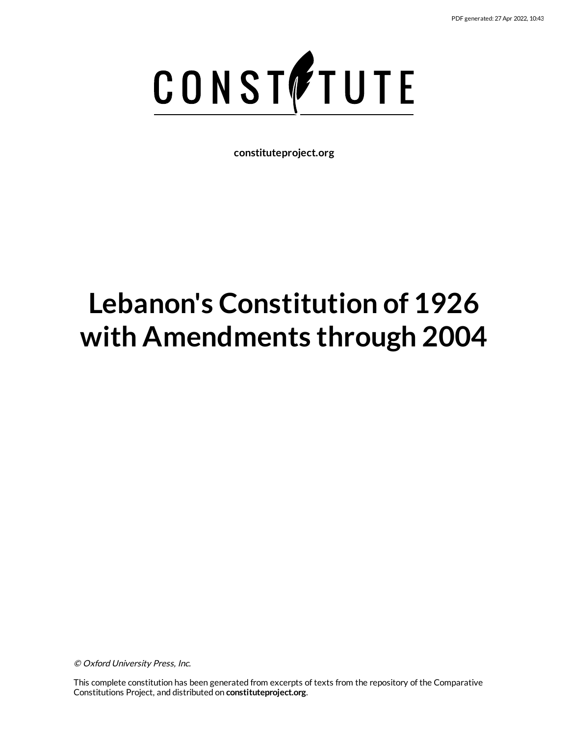

**constituteproject.org**

# **Lebanon's Constitution of 1926 with Amendments through 2004**

© Oxford University Press, Inc.

This complete constitution has been generated from excerpts of texts from the repository of the Comparative Constitutions Project, and distributed on **constituteproject.org**.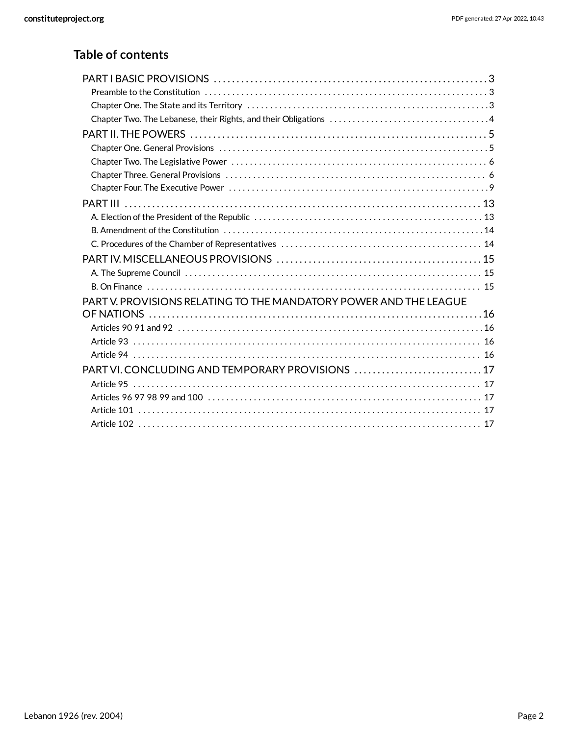## **Table of contents**

| PART V. PROVISIONS RELATING TO THE MANDATORY POWER AND THE LEAGUE |  |
|-------------------------------------------------------------------|--|
|                                                                   |  |
|                                                                   |  |
| Article 93 ……………………………………………………………………………………… 16                   |  |
|                                                                   |  |
| PART VI. CONCLUDING AND TEMPORARY PROVISIONS  17                  |  |
|                                                                   |  |
|                                                                   |  |
|                                                                   |  |
|                                                                   |  |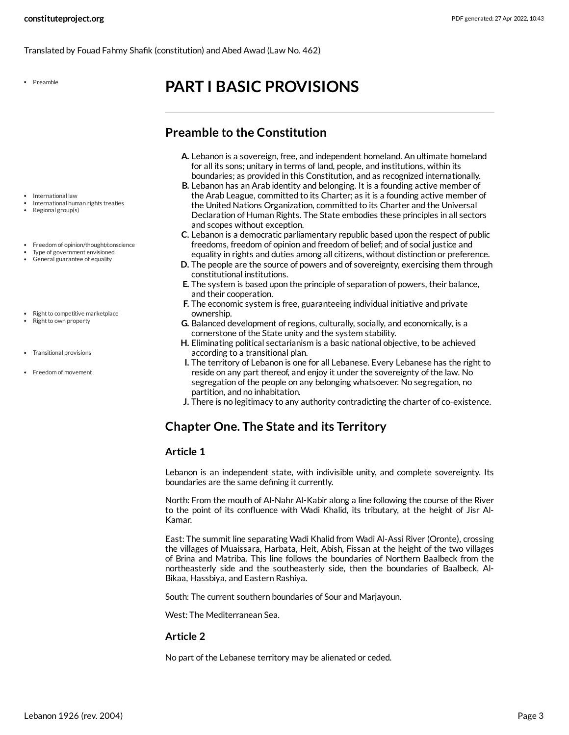Translated by Fouad Fahmy Shafik (constitution) and Abed Awad (Law No. 462)

Preamble

## <span id="page-2-0"></span>**PART I BASIC PROVISIONS**

## <span id="page-2-1"></span>**Preamble to the Constitution**

- **A.** Lebanon is a sovereign, free, and independent homeland. An ultimate homeland for all its sons; unitary in terms of land, people, and institutions, within its boundaries; as provided in this Constitution, and as recognized internationally.
- **B.** Lebanon has an Arab identity and belonging. It is a founding active member of the Arab League, committed to its Charter; as it is a founding active member of the United Nations Organization, committed to its Charter and the Universal Declaration of Human Rights. The State embodies these principles in all sectors and scopes without exception.
- **C.** Lebanon is a democratic parliamentary republic based upon the respect of public freedoms, freedom of opinion and freedom of belief; and of social justice and equality in rights and duties among all citizens, without distinction or preference.
- **D.** The people are the source of powers and of sovereignty, exercising them through constitutional institutions.
- **E.** The system is based upon the principle of separation of powers, their balance, and their cooperation.
- **F.** The economic system is free, guaranteeing individual initiative and private ownership.
- **G.** Balanced development of regions, culturally, socially, and economically, is a cornerstone of the State unity and the system stability.
- **H.** Eliminating political sectarianism is a basic national objective, to be achieved according to a transitional plan.
- **I.** The territory of Lebanon is one for all Lebanese. Every Lebanese has the right to reside on any part thereof, and enjoy it under the sovereignty of the law. No segregation of the people on any belonging whatsoever. No segregation, no partition, and no inhabitation.
- **J.** There is no legitimacy to any authority contradicting the charter of co-existence.

## <span id="page-2-2"></span>**Chapter One. The State and its Territory**

#### **Article 1**

Lebanon is an independent state, with indivisible unity, and complete sovereignty. Its boundaries are the same defining it currently.

North: From the mouth of Al-Nahr Al-Kabir along a line following the course of the River to the point of its confluence with Wadi Khalid, its tributary, at the height of Jisr Al-Kamar.

East: The summit line separating Wadi Khalid from Wadi Al-Assi River (Oronte), crossing the villages of Muaissara, Harbata, Heit, Abish, Fissan at the height of the two villages of Brina and Matriba. This line follows the boundaries of Northern Baalbeck from the northeasterly side and the southeasterly side, then the boundaries of Baalbeck, Al-Bikaa, Hassbiya, and Eastern Rashiya.

South: The current southern boundaries of Sour and Marjayoun.

West: The Mediterranean Sea.

#### **Article 2**

No part of the Lebanese territory may be alienated or ceded.

- International law
- International human rights treaties Regional group(s)
- 
- Freedom of opinion/thought/conscience
- Type of government envisioned
- General guarantee of equality
- Right to competitive marketplace
- Right to own property
- Transitional provisions
- Freedom of movement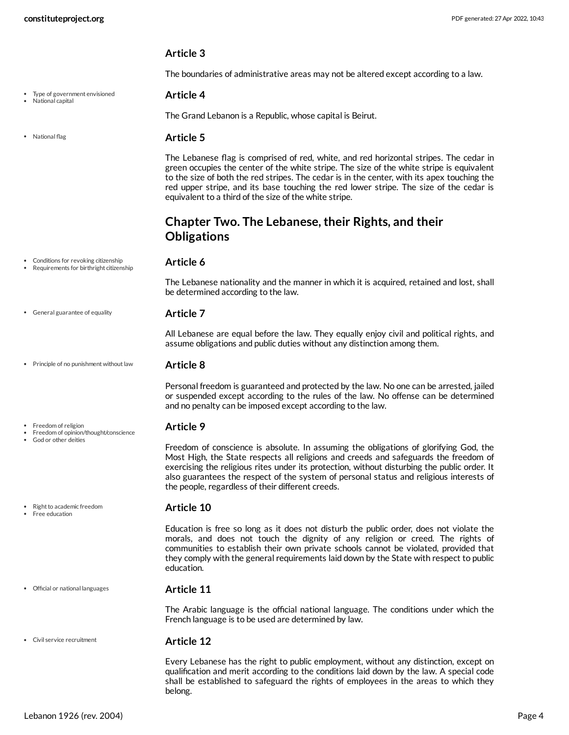Type of government envisioned

National capital

• National flag

#### **Article 3**

<span id="page-3-6"></span>The boundaries of administrative areas may not be altered except according to a law.

#### **Article 4**

The Grand Lebanon is a Republic, whose capital is Beirut.

#### <span id="page-3-7"></span>**Article 5**

The Lebanese flag is comprised of red, white, and red horizontal stripes. The cedar in green occupies the center of the white stripe. The size of the white stripe is equivalent to the size of both the red stripes. The cedar is in the center, with its apex touching the red upper stripe, and its base touching the red lower stripe. The size of the cedar is equivalent to a third of the size of the white stripe.

## <span id="page-3-0"></span>**Chapter Two. The Lebanese, their Rights, and their Obligations**

assume obligations and public duties without any distinction among them.

Conditions for revoking citizenship Requirements for birthright citizenship

#### <span id="page-3-2"></span>**Article 6**

The Lebanese nationality and the manner in which it is acquired, retained and lost, shall be determined according to the law.

All Lebanese are equal before the law. They equally enjoy civil and political rights, and

General guarantee of equality

• Principle of no punishment without law

Freedom of opinion/thought/conscience

#### <span id="page-3-9"></span>**Article 8**

<span id="page-3-5"></span>**Article 7**

Personal freedom is guaranteed and protected by the law. No one can be arrested, jailed or suspended except according to the rules of the law. No offense can be determined and no penalty can be imposed except according to the law.

#### <span id="page-3-4"></span>**Article 9**

Freedom of conscience is absolute. In assuming the obligations of glorifying God, the Most High, the State respects all religions and creeds and safeguards the freedom of exercising the religious rites under its protection, without disturbing the public order. It also guarantees the respect of the system of personal status and religious interests of the people, regardless of their different creeds.

#### <span id="page-3-3"></span>**Article 10**

Education is free so long as it does not disturb the public order, does not violate the morals, and does not touch the dignity of any religion or creed. The rights of communities to establish their own private schools cannot be violated, provided that they comply with the general requirements laid down by the State with respect to public education.

#### **Article 11**

<span id="page-3-8"></span>The Arabic language is the official national language. The conditions under which the French language is to be used are determined by law.

#### <span id="page-3-1"></span>**Article 12**

Every Lebanese has the right to public employment, without any distinction, except on qualification and merit according to the conditions laid down by the law. A special code shall be established to safeguard the rights of employees in the areas to which they belong.

#### • Right to academic freedom Free education

Freedom of religion

God or other deities

Official or national languages

Civil service recruitment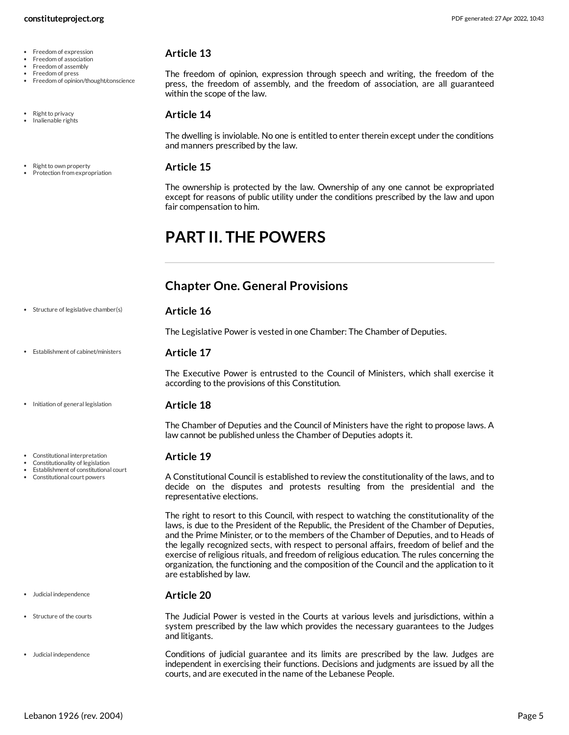- Freedom of expression
- Freedom of association
- Freedom of assembly
- Freedom of press
- Freedom of opinion/thought/conscience
- Right to privacy
- Inalienable rights
- Right to own property Protection from expropriation

<span id="page-4-5"></span>The freedom of opinion, expression through speech and writing, the freedom of the press, the freedom of assembly, and the freedom of association, are all guaranteed within the scope of the law.

#### <span id="page-4-6"></span>**Article 14**

The dwelling is inviolable. No one is entitled to enter therein except under the conditions and manners prescribed by the law.

#### <span id="page-4-9"></span>**Article 15**

<span id="page-4-10"></span>**Article 16**

The ownership is protected by the law. Ownership of any one cannot be expropriated except for reasons of public utility under the conditions prescribed by the law and upon fair compensation to him.

## <span id="page-4-0"></span>**PART II. THE POWERS**

## <span id="page-4-1"></span>**Chapter One. General Provisions**

| Structure of legislative chamber(s) |
|-------------------------------------|
|-------------------------------------|

<span id="page-4-4"></span>The Legislative Power is vested in one Chamber: The Chamber of Deputies.

#### **Article 17** Establishment of cabinet/ministers

The Executive Power is entrusted to the Council of Ministers, which shall exercise it according to the provisions of this Constitution.

- Initiation of general legislation
- Constitutional interpretation
- Constitutionality of legislation
- Establishment of constitutional court Constitutional court powers

- Judicial independence
- Structure of the courts
- Judicial independence

The Chamber of Deputies and the Council of Ministers have the right to propose laws. A law cannot be published unless the Chamber of Deputies adopts it.

### <span id="page-4-3"></span>**Article 19**

<span id="page-4-7"></span>**Article 18**

<span id="page-4-2"></span>A Constitutional Council is established to review the constitutionality of the laws, and to decide on the disputes and protests resulting from the presidential and the representative elections.

The right to resort to this Council, with respect to watching the constitutionality of the laws, is due to the President of the Republic, the President of the Chamber of Deputies, and the Prime Minister, or to the members of the Chamber of Deputies, and to Heads of the legally recognized sects, with respect to personal affairs, freedom of belief and the exercise of religious rituals, and freedom of religious education. The rules concerning the organization, the functioning and the composition of the Council and the application to it are established by law.

#### <span id="page-4-11"></span><span id="page-4-8"></span>**Article 20**

The Judicial Power is vested in the Courts at various levels and jurisdictions, within a system prescribed by the law which provides the necessary guarantees to the Judges and litigants.

> Conditions of judicial guarantee and its limits are prescribed by the law. Judges are independent in exercising their functions. Decisions and judgments are issued by all the courts, and are executed in the name of the Lebanese People.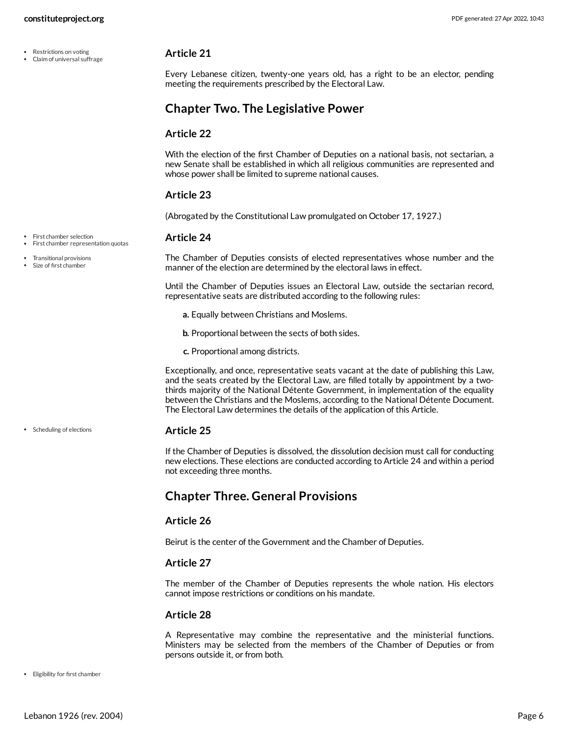- Restrictions on voting
- Claim of universal suffrage

<span id="page-5-2"></span>Every Lebanese citizen, twenty-one years old, has a right to be an elector, pending meeting the requirements prescribed by the Electoral Law.

## <span id="page-5-0"></span>**Chapter Two. The Legislative Power**

#### **Article 22**

With the election of the first Chamber of Deputies on a national basis, not sectarian, a new Senate shall be established in which all religious communities are represented and whose power shall be limited to supreme national causes.

#### **Article 23**

(Abrogated by the Constitutional Law promulgated on October 17, 1927.)

#### <span id="page-5-4"></span>**Article 24**

• First chamber selection

• First chamber representation quotas

Transitional provisions Size of first chamber

Scheduling of elections

<span id="page-5-6"></span>The Chamber of Deputies consists of elected representatives whose number and the manner of the election are determined by the electoral laws in effect.

Until the Chamber of Deputies issues an Electoral Law, outside the sectarian record, representative seats are distributed according to the following rules:

- **a.** Equally between Christians and Moslems.
- **b.** Proportional between the sects of both sides.
- **c.** Proportional among districts.

Exceptionally, and once, representative seats vacant at the date of publishing this Law, and the seats created by the Electoral Law, are filled totally by appointment by a twothirds majority of the National Détente Government, in implementation of the equality between the Christians and the Moslems, according to the National Détente Document. The Electoral Law determines the details of the application of this Article.

#### <span id="page-5-5"></span>**Article 25**

If the Chamber of Deputies is dissolved, the dissolution decision must call for conducting new elections. These elections are conducted according to Article 24 and within a period not exceeding three months.

## <span id="page-5-1"></span>**Chapter Three. General Provisions**

#### **Article 26**

Beirut is the center of the Government and the Chamber of Deputies.

#### **Article 27**

The member of the Chamber of Deputies represents the whole nation. His electors cannot impose restrictions or conditions on his mandate.

#### **Article 28**

<span id="page-5-3"></span>A Representative may combine the representative and the ministerial functions. Ministers may be selected from the members of the Chamber of Deputies or from persons outside it, or from both.

Eligibility for first chamber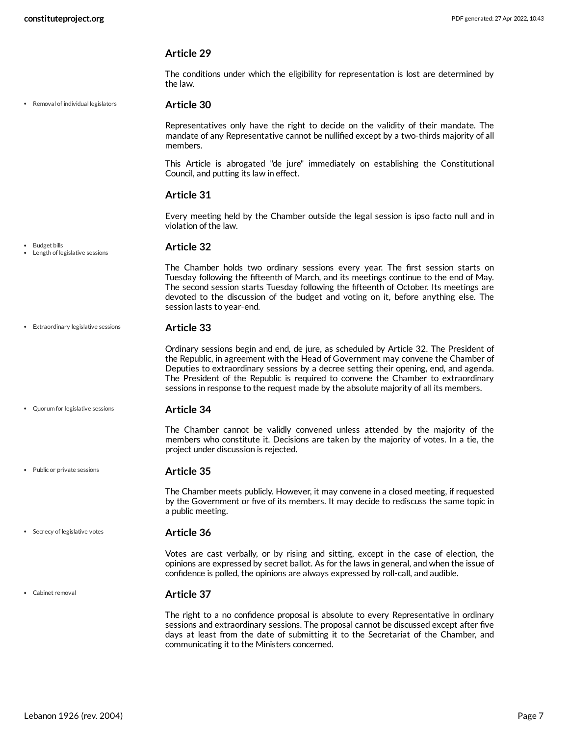The conditions under which the eligibility for representation is lost are determined by the law.

Removal of individual legislators

#### <span id="page-6-5"></span>**Article 30**

Representatives only have the right to decide on the validity of their mandate. The mandate of any Representative cannot be nullified except by a two-thirds majority of all members.

This Article is abrogated "de jure" immediately on establishing the Constitutional Council, and putting its law in effect.

#### **Article 31**

Every meeting held by the Chamber outside the legal session is ipso facto null and in violation of the law.

#### **Article 32** • Budget bills Length of legislative sessions

<span id="page-6-0"></span>The Chamber holds two ordinary sessions every year. The first session starts on Tuesday following the fifteenth of March, and its meetings continue to the end of May. The second session starts Tuesday following the fifteenth of October. Its meetings are devoted to the discussion of the budget and voting on it, before anything else. The session lasts to year-end.

**Article 33** Extraordinary legislative sessions

#### <span id="page-6-2"></span>Ordinary sessions begin and end, de jure, as scheduled by Article 32. The President of the Republic, in agreement with the Head of Government may convene the Chamber of Deputies to extraordinary sessions by a decree setting their opening, end, and agenda. The President of the Republic is required to convene the Chamber to extraordinary sessions in response to the request made by the absolute majority of all its members.

Quorum for legislative sessions

#### <span id="page-6-4"></span>**Article 34**

The Chamber cannot be validly convened unless attended by the majority of the members who constitute it. Decisions are taken by the majority of votes. In a tie, the project under discussion is rejected.

#### **Article 35**

<span id="page-6-3"></span>The Chamber meets publicly. However, it may convene in a closed meeting, if requested by the Government or five of its members. It may decide to rediscuss the same topic in a public meeting.

**Article 36** • Secrecy of legislative votes

> <span id="page-6-6"></span>Votes are cast verbally, or by rising and sitting, except in the case of election, the opinions are expressed by secret ballot. As for the laws in general, and when the issue of confidence is polled, the opinions are always expressed by roll-call, and audible.

Cabinet removal

Public or private sessions

#### <span id="page-6-1"></span>**Article 37**

The right to a no confidence proposal is absolute to every Representative in ordinary sessions and extraordinary sessions. The proposal cannot be discussed except after five days at least from the date of submitting it to the Secretariat of the Chamber, and communicating it to the Ministers concerned.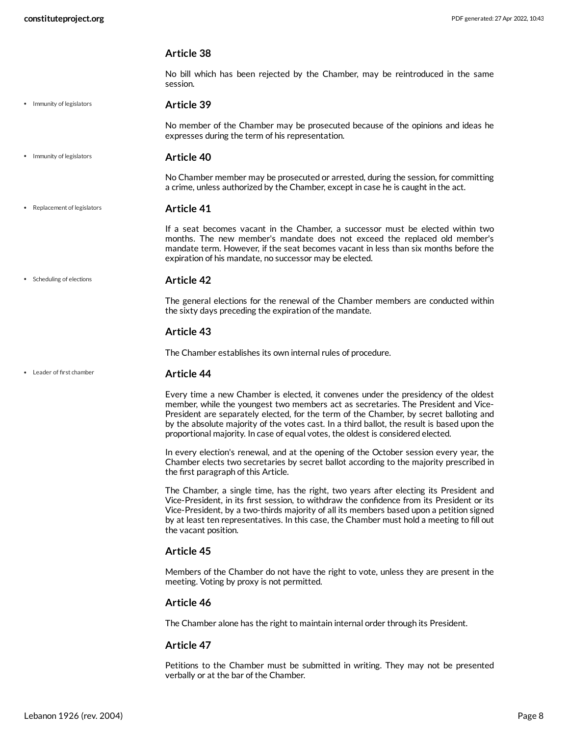No bill which has been rejected by the Chamber, may be reintroduced in the same session.

• Immunity of legislators

#### <span id="page-7-0"></span>**Article 39**

No member of the Chamber may be prosecuted because of the opinions and ideas he expresses during the term of his representation.

**Article 40** • Immunity of legislators

> No Chamber member may be prosecuted or arrested, during the session, for committing a crime, unless authorized by the Chamber, except in case he is caught in the act.

**Article 41** Replacement of legislators

> <span id="page-7-2"></span>If a seat becomes vacant in the Chamber, a successor must be elected within two months. The new member's mandate does not exceed the replaced old member's mandate term. However, if the seat becomes vacant in less than six months before the expiration of his mandate, no successor may be elected.

• Scheduling of elections

#### <span id="page-7-3"></span>**Article 42**

The general elections for the renewal of the Chamber members are conducted within the sixty days preceding the expiration of the mandate.

#### **Article 43**

<span id="page-7-1"></span>**Article 44**

The Chamber establishes its own internal rules of procedure.

#### Leader of first chamber

Every time a new Chamber is elected, it convenes under the presidency of the oldest member, while the youngest two members act as secretaries. The President and Vice-President are separately elected, for the term of the Chamber, by secret balloting and by the absolute majority of the votes cast. In a third ballot, the result is based upon the proportional majority. In case of equal votes, the oldest is considered elected.

In every election's renewal, and at the opening of the October session every year, the Chamber elects two secretaries by secret ballot according to the majority prescribed in the first paragraph of this Article.

The Chamber, a single time, has the right, two years after electing its President and Vice-President, in its first session, to withdraw the confidence from its President or its Vice-President, by a two-thirds majority of all its members based upon a petition signed by at least ten representatives. In this case, the Chamber must hold a meeting to fill out the vacant position.

#### **Article 45**

Members of the Chamber do not have the right to vote, unless they are present in the meeting. Voting by proxy is not permitted.

#### **Article 46**

The Chamber alone has the right to maintain internal order through its President.

#### **Article 47**

Petitions to the Chamber must be submitted in writing. They may not be presented verbally or at the bar of the Chamber.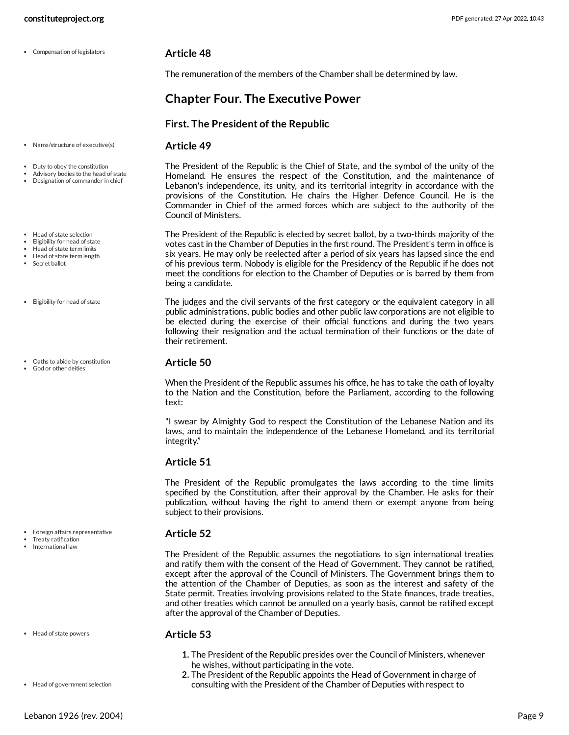Compensation of legislators

<span id="page-8-3"></span>**Article 48**

The remuneration of the members of the Chamber shall be determined by law.

## <span id="page-8-0"></span>**Chapter Four. The Executive Power**

#### **First. The President of the Republic**

#### <span id="page-8-7"></span>**Article 49**

<span id="page-8-1"></span>The President of the Republic is the Chief of State, and the symbol of the unity of the Homeland. He ensures the respect of the Constitution, and the maintenance of Lebanon's independence, its unity, and its territorial integrity in accordance with the provisions of the Constitution. He chairs the Higher Defence Council. He is the Commander in Chief of the armed forces which are subject to the authority of the Council of Ministers.

<span id="page-8-4"></span>The President of the Republic is elected by secret ballot, by a two-thirds majority of the votes cast in the Chamber of Deputies in the first round. The President's term in office is six years. He may only be reelected after a period of six years has lapsed since the end of his previous term. Nobody is eligible for the Presidency of the Republic if he does not meet the conditions for election to the Chamber of Deputies or is barred by them from being a candidate.

The judges and the civil servants of the first category or the equivalent category in all public administrations, public bodies and other public law corporations are not eligible to be elected during the exercise of their official functions and during the two years following their resignation and the actual termination of their functions or the date of their retirement.

#### <span id="page-8-6"></span>**Article 50**

When the President of the Republic assumes his office, he has to take the oath of loyalty to the Nation and the Constitution, before the Parliament, according to the following text:

"I swear by Almighty God to respect the Constitution of the Lebanese Nation and its laws, and to maintain the independence of the Lebanese Homeland, and its territorial integrity."

#### **Article 51**

The President of the Republic promulgates the laws according to the time limits specified by the Constitution, after their approval by the Chamber. He asks for their publication, without having the right to amend them or exempt anyone from being subject to their provisions.

#### <span id="page-8-5"></span>**Article 52**

The President of the Republic assumes the negotiations to sign international treaties and ratify them with the consent of the Head of Government. They cannot be ratified, except after the approval of the Council of Ministers. The Government brings them to the attention of the Chamber of Deputies, as soon as the interest and safety of the State permit. Treaties involving provisions related to the State finances, trade treaties, and other treaties which cannot be annulled on a yearly basis, cannot be ratified except after the approval of the Chamber of Deputies.

Head of state powers

#### <span id="page-8-2"></span>**Article 53**

- **1.** The President of the Republic presides over the Council of Ministers, whenever he wishes, without participating in the vote.
- **2.** The President of the Republic appoints the Head of Government in charge of consulting with the President of the Chamber of Deputies with respect to

Name/structure of executive(s)

- Duty to obey the constitution
- Advisory bodies to the head of state
- Designation of commander in chief

• Head of state selection

- Eligibility for head of state Head of state term limits
- Head of state term length
- Secret ballot
- Eligibility for head of state
- Oaths to abide by constitution
- God or other deities

Foreign affairs representative Treaty ratification International law

Head of government selection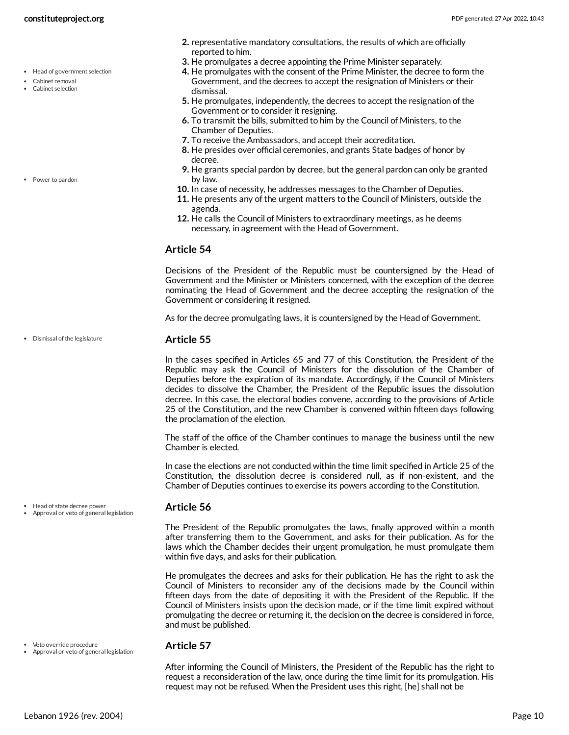- Cabinet removal
- Cabinet selection

Dismissal of the legislature

- Head of state decree power
- Approval or veto of general legislation

#### <span id="page-9-0"></span>**Article 56**

The President of the Republic promulgates the laws, finally approved within a month after transferring them to the Government, and asks for their publication. As for the laws which the Chamber decides their urgent promulgation, he must promulgate them within five days, and asks for their publication.

He promulgates the decrees and asks for their publication. He has the right to ask the Council of Ministers to reconsider any of the decisions made by the Council within fifteen days from the date of depositing it with the President of the Republic. If the Council of Ministers insists upon the decision made, or if the time limit expired without promulgating the decree or returning it, the decision on the decree is considered in force, and must be published.

Veto override procedure Approval or veto of general legislation

#### <span id="page-9-2"></span>**Article 57**

After informing the Council of Ministers, the President of the Republic has the right to request a reconsideration of the law, once during the time limit for its promulgation. His request may not be refused. When the President uses this right, [he] shall not be

- **2.** representative mandatory consultations, the results of which are officially reported to him.
- **3.** He promulgates a decree appointing the Prime Minister separately.
- **4.** He promulgates with the consent of the Prime Minister, the decree to form the Government, and the decrees to accept the resignation of Ministers or their dismissal.
- **5.** He promulgates, independently, the decrees to accept the resignation of the Government or to consider it resigning.
- **6.** To transmit the bills, submitted to him by the Council of Ministers, to the Chamber of Deputies.
- **7.** To receive the Ambassadors, and accept their accreditation.
- **8.** He presides over official ceremonies, and grants State badges of honor by decree.
- **9.** He grants special pardon by decree, but the general pardon can only be granted by law.
- **10.** In case of necessity, he addresses messages to the Chamber of Deputies.
- **11.** He presents any of the urgent matters to the Council of Ministers, outside the agenda.
- **12.** He calls the Council of Ministers to extraordinary meetings, as he deems necessary, in agreement with the Head of Government.

#### **Article 54**

Decisions of the President of the Republic must be countersigned by the Head of Government and the Minister or Ministers concerned, with the exception of the decree nominating the Head of Government and the decree accepting the resignation of the Government or considering it resigned.

<span id="page-9-1"></span>As for the decree promulgating laws, it is countersigned by the Head of Government.

#### **Article 55**

In the cases specified in Articles 65 and 77 of this Constitution, the President of the Republic may ask the Council of Ministers for the dissolution of the Chamber of Deputies before the expiration of its mandate. Accordingly, if the Council of Ministers decides to dissolve the Chamber, the President of the Republic issues the dissolution decree. In this case, the electoral bodies convene, according to the provisions of Article 25 of the Constitution, and the new Chamber is convened within fifteen days following the proclamation of the election.

The staff of the office of the Chamber continues to manage the business until the new Chamber is elected.

In case the elections are not conducted within the time limit specified in Article 25 of the Constitution, the dissolution decree is considered null, as if non-existent, and the Chamber of Deputies continues to exercise its powers according to the Constitution.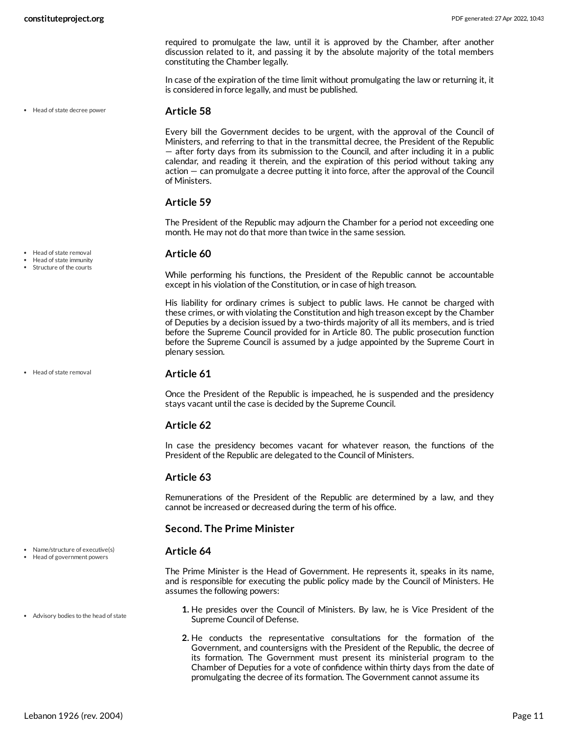required to promulgate the law, until it is approved by the Chamber, after another discussion related to it, and passing it by the absolute majority of the total members constituting the Chamber legally.

In case of the expiration of the time limit without promulgating the law or returning it, it is considered in force legally, and must be published.

Head of state decree power

#### <span id="page-10-2"></span>**Article 58**

Every bill the Government decides to be urgent, with the approval of the Council of Ministers, and referring to that in the transmittal decree, the President of the Republic — after forty days from its submission to the Council, and after including it in a public calendar, and reading it therein, and the expiration of this period without taking any action — can promulgate a decree putting it into force, after the approval of the Council of Ministers.

#### **Article 59**

The President of the Republic may adjourn the Chamber for a period not exceeding one month. He may not do that more than twice in the same session.

#### <span id="page-10-3"></span>**Article 60**

While performing his functions, the President of the Republic cannot be accountable except in his violation of the Constitution, or in case of high treason.

His liability for ordinary crimes is subject to public laws. He cannot be charged with these crimes, or with violating the Constitution and high treason except by the Chamber of Deputies by a decision issued by a two-thirds majority of all its members, and is tried before the Supreme Council provided for in Article 80. The public prosecution function before the Supreme Council is assumed by a judge appointed by the Supreme Court in plenary session.

Head of state removal

• Head of state removal Head of state immunity Structure of the courts

#### **Article 61**

Once the President of the Republic is impeached, he is suspended and the presidency stays vacant until the case is decided by the Supreme Council.

#### **Article 62**

In case the presidency becomes vacant for whatever reason, the functions of the President of the Republic are delegated to the Council of Ministers.

#### **Article 63**

Remunerations of the President of the Republic are determined by a law, and they cannot be increased or decreased during the term of his office.

#### **Second. The Prime Minister**

#### <span id="page-10-1"></span>**Article 64**

<span id="page-10-0"></span>The Prime Minister is the Head of Government. He represents it, speaks in its name, and is responsible for executing the public policy made by the Council of Ministers. He assumes the following powers:

- **1.** He presides over the Council of Ministers. By law, he is Vice President of the Supreme Council of Defense.
- **2.** He conducts the representative consultations for the formation of the Government, and countersigns with the President of the Republic, the decree of its formation. The Government must present its ministerial program to the Chamber of Deputies for a vote of confidence within thirty days from the date of promulgating the decree of its formation. The Government cannot assume its

• Name/structure of executive(s) Head of government powers

- 
- Advisory bodies to the head of state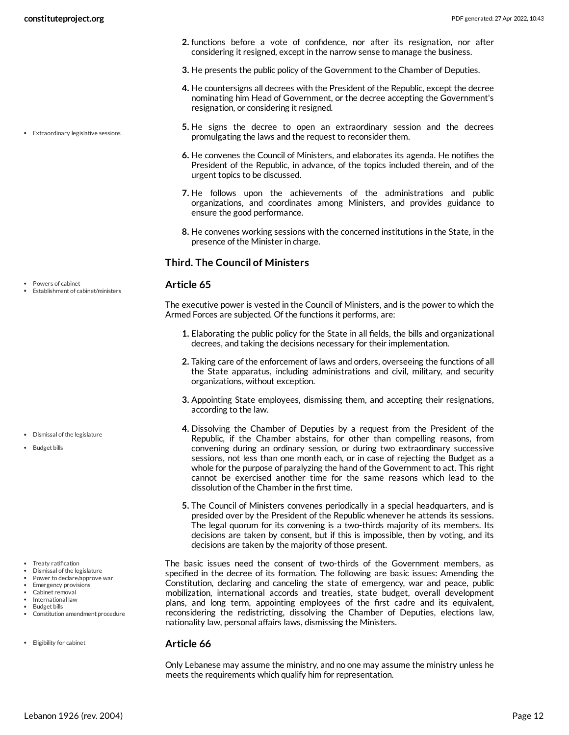Extraordinary legislative sessions

- **2.** functions before a vote of confidence, nor after its resignation, nor after considering it resigned, except in the narrow sense to manage the business.
- **3.** He presents the public policy of the Government to the Chamber of Deputies.
- **4.** He countersigns all decrees with the President of the Republic, except the decree nominating him Head of Government, or the decree accepting the Government's resignation, or considering it resigned.
- **5.** He signs the decree to open an extraordinary session and the decrees promulgating the laws and the request to reconsider them.
- **6.** He convenes the Council of Ministers, and elaborates its agenda. He notifies the President of the Republic, in advance, of the topics included therein, and of the urgent topics to be discussed.
- **7.** He follows upon the achievements of the administrations and public organizations, and coordinates among Ministers, and provides guidance to ensure the good performance.
- **8.** He convenes working sessions with the concerned institutions in the State, in the presence of the Minister in charge.

## **Third. The Council of Ministers**

#### <span id="page-11-3"></span>**Article 65**

<span id="page-11-0"></span>The executive power is vested in the Council of Ministers, and is the power to which the Armed Forces are subjected. Of the functions it performs, are:

- **1.** Elaborating the public policy for the State in all fields, the bills and organizational decrees, and taking the decisions necessary for their implementation.
- **2.** Taking care of the enforcement of laws and orders, overseeing the functions of all the State apparatus, including administrations and civil, military, and security organizations, without exception.
- **3.** Appointing State employees, dismissing them, and accepting their resignations, according to the law.
- **4.** Dissolving the Chamber of Deputies by a request from the President of the Republic, if the Chamber abstains, for other than compelling reasons, from convening during an ordinary session, or during two extraordinary successive sessions, not less than one month each, or in case of rejecting the Budget as a whole for the purpose of paralyzing the hand of the Government to act. This right cannot be exercised another time for the same reasons which lead to the dissolution of the Chamber in the first time.
- **5.** The Council of Ministers convenes periodically in a special headquarters, and is presided over by the President of the Republic whenever he attends its sessions. The legal quorum for its convening is a two-thirds majority of its members. Its decisions are taken by consent, but if this is impossible, then by voting, and its decisions are taken by the majority of those present.

<span id="page-11-1"></span>The basic issues need the consent of two-thirds of the Government members, as specified in the decree of its formation. The following are basic issues: Amending the Constitution, declaring and canceling the state of emergency, war and peace, public mobilization, international accords and treaties, state budget, overall development plans, and long term, appointing employees of the first cadre and its equivalent, reconsidering the redistricting, dissolving the Chamber of Deputies, elections law, nationality law, personal affairs laws, dismissing the Ministers.

#### <span id="page-11-2"></span>**Article 66**

Only Lebanese may assume the ministry, and no one may assume the ministry unless he meets the requirements which qualify him for representation.

- Powers of cabinet
- Establishment of cabinet/ministers

- Dismissal of the legislature
- Budget bills

- Treaty ratification
- Dismissal of the legislature
- Power to declare/approve war Emergency provisions
- Cabinet removal
- International law
- Budget bills
- Constitution amendment procedure
- Eligibility for cabinet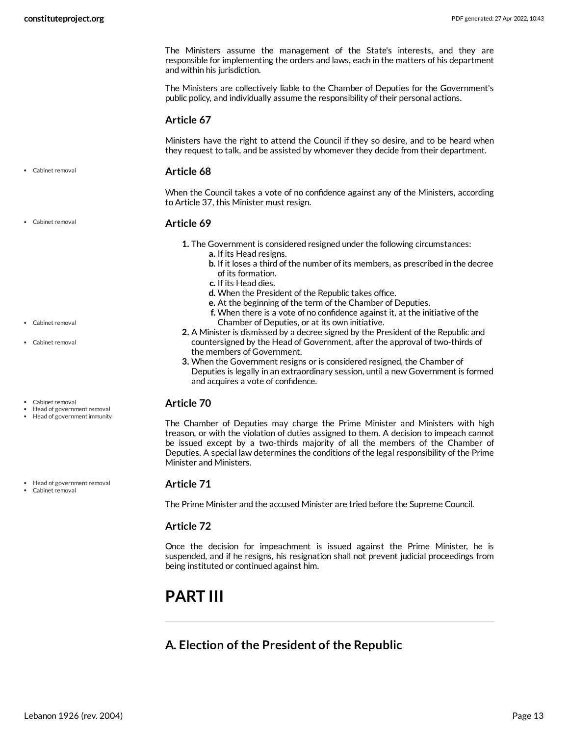The Ministers assume the management of the State's interests, and they are responsible for implementing the orders and laws, each in the matters of his department and within his jurisdiction.

The Ministers are collectively liable to the Chamber of Deputies for the Government's public policy, and individually assume the responsibility of their personal actions.

#### **Article 67**

Ministers have the right to attend the Council if they so desire, and to be heard when they request to talk, and be assisted by whomever they decide from their department.

**Article 68** Cabinet removal

> <span id="page-12-2"></span>When the Council takes a vote of no confidence against any of the Ministers, according to Article 37, this Minister must resign.

#### **Article 69**

- **1.** The Government is considered resigned under the following circumstances:
	- **a.** If its Head resigns.
	- **b.** If it loses a third of the number of its members, as prescribed in the decree of its formation.
	- **c.** If its Head dies.
	- **d.** When the President of the Republic takes office.
	- **e.** At the beginning of the term of the Chamber of Deputies.
	- **f.** When there is a vote of no confidence against it, at the initiative of the Chamber of Deputies, or at its own initiative.
- **2.** A Minister is dismissed by a decree signed by the President of the Republic and countersigned by the Head of Government, after the approval of two-thirds of the members of Government.
- **3.** When the Government resigns or is considered resigned, the Chamber of Deputies is legally in an extraordinary session, until a new Government is formed and acquires a vote of confidence.

#### <span id="page-12-3"></span>**Article 70**

The Chamber of Deputies may charge the Prime Minister and Ministers with high treason, or with the violation of duties assigned to them. A decision to impeach cannot be issued except by a two-thirds majority of all the members of the Chamber of Deputies. A special law determines the conditions of the legal responsibility of the Prime Minister and Ministers.

#### **Article 71**

The Prime Minister and the accused Minister are tried before the Supreme Council.

### **Article 72**

Once the decision for impeachment is issued against the Prime Minister, he is suspended, and if he resigns, his resignation shall not prevent judicial proceedings from being instituted or continued against him.

## <span id="page-12-0"></span>**PART III**

## <span id="page-12-1"></span>**A. Election of the President of the Republic**

Cabinet removal

Cabinet removal

- Cabinet removal
- Cabinet removal
- Head of government removal Head of government immunity

• Head of government removal

Cabinet removal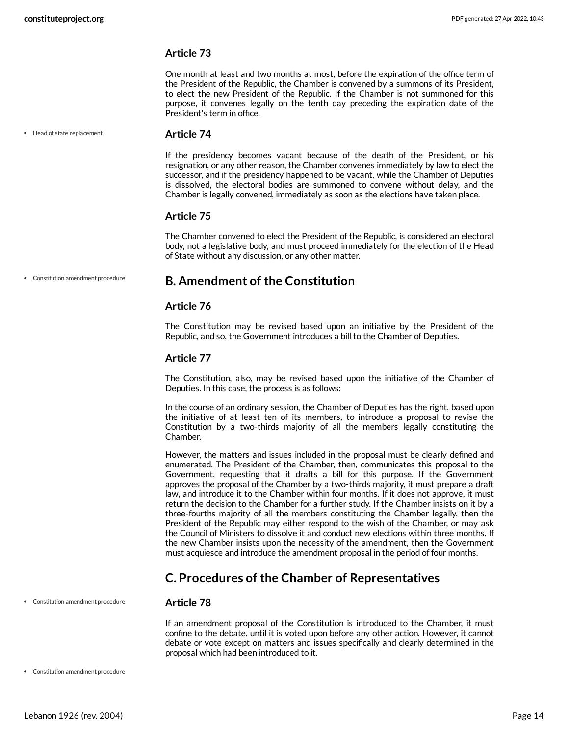One month at least and two months at most, before the expiration of the office term of the President of the Republic, the Chamber is convened by a summons of its President, to elect the new President of the Republic. If the Chamber is not summoned for this purpose, it convenes legally on the tenth day preceding the expiration date of the President's term in office.

Head of state replacement

#### <span id="page-13-2"></span>**Article 74**

If the presidency becomes vacant because of the death of the President, or his resignation, or any other reason, the Chamber convenes immediately by law to elect the successor, and if the presidency happened to be vacant, while the Chamber of Deputies is dissolved, the electoral bodies are summoned to convene without delay, and the Chamber is legally convened, immediately as soon as the elections have taken place.

#### **Article 75**

The Chamber convened to elect the President of the Republic, is considered an electoral body, not a legislative body, and must proceed immediately for the election of the Head of State without any discussion, or any other matter.

Constitution amendment procedure

### <span id="page-13-0"></span>**B. Amendment of the Constitution**

#### **Article 76**

The Constitution may be revised based upon an initiative by the President of the Republic, and so, the Government introduces a bill to the Chamber of Deputies.

#### **Article 77**

The Constitution, also, may be revised based upon the initiative of the Chamber of Deputies. In this case, the process is as follows:

In the course of an ordinary session, the Chamber of Deputies has the right, based upon the initiative of at least ten of its members, to introduce a proposal to revise the Constitution by a two-thirds majority of all the members legally constituting the Chamber.

However, the matters and issues included in the proposal must be clearly defined and enumerated. The President of the Chamber, then, communicates this proposal to the Government, requesting that it drafts a bill for this purpose. If the Government approves the proposal of the Chamber by a two-thirds majority, it must prepare a draft law, and introduce it to the Chamber within four months. If it does not approve, it must return the decision to the Chamber for a further study. If the Chamber insists on it by a three-fourths majority of all the members constituting the Chamber legally, then the President of the Republic may either respond to the wish of the Chamber, or may ask the Council of Ministers to dissolve it and conduct new elections within three months. If the new Chamber insists upon the necessity of the amendment, then the Government must acquiesce and introduce the amendment proposal in the period of four months.

## <span id="page-13-1"></span>**C. Procedures of the Chamber of Representatives**

Constitution amendment procedure

#### **Article 78**

If an amendment proposal of the Constitution is introduced to the Chamber, it must confine to the debate, until it is voted upon before any other action. However, it cannot debate or vote except on matters and issues specifically and clearly determined in the proposal which had been introduced to it.

Constitution amendment procedure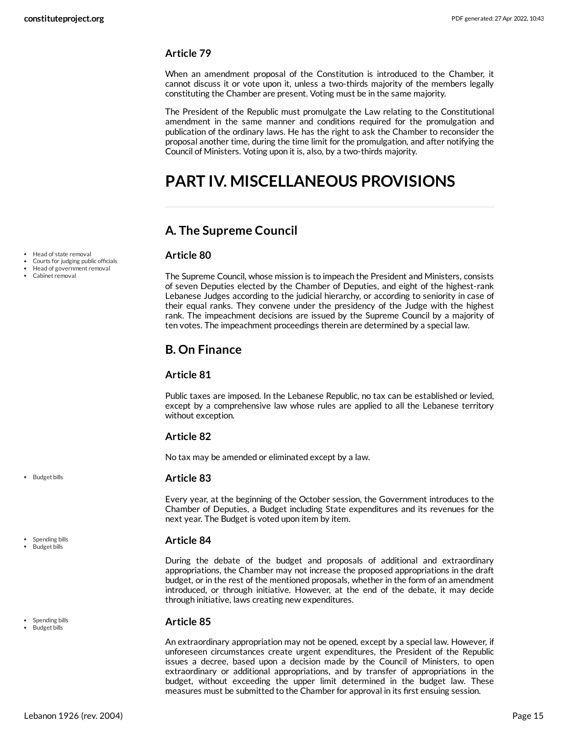When an amendment proposal of the Constitution is introduced to the Chamber, it cannot discuss it or vote upon it, unless a two-thirds majority of the members legally constituting the Chamber are present. Voting must be in the same majority.

The President of the Republic must promulgate the Law relating to the Constitutional amendment in the same manner and conditions required for the promulgation and publication of the ordinary laws. He has the right to ask the Chamber to reconsider the proposal another time, during the time limit for the promulgation, and after notifying the Council of Ministers. Voting upon it is, also, by a two-thirds majority.

## <span id="page-14-0"></span>**PART IV. MISCELLANEOUS PROVISIONS**

## <span id="page-14-1"></span>**A. The Supreme Council**

#### <span id="page-14-4"></span>**Article 80**

The Supreme Council, whose mission is to impeach the President and Ministers, consists of seven Deputies elected by the Chamber of Deputies, and eight of the highest-rank Lebanese Judges according to the judicial hierarchy, or according to seniority in case of their equal ranks. They convene under the presidency of the Judge with the highest rank. The impeachment decisions are issued by the Supreme Council by a majority of ten votes. The impeachment proceedings therein are determined by a special law.

## <span id="page-14-2"></span>**B. On Finance**

#### **Article 81**

Public taxes are imposed. In the Lebanese Republic, no tax can be established or levied, except by a comprehensive law whose rules are applied to all the Lebanese territory without exception.

#### **Article 82**

No tax may be amended or eliminated except by a law.

#### <span id="page-14-3"></span>**Article 83**

Every year, at the beginning of the October session, the Government introduces to the Chamber of Deputies, a Budget including State expenditures and its revenues for the next year. The Budget is voted upon item by item.

#### <span id="page-14-5"></span>**Article 84**

During the debate of the budget and proposals of additional and extraordinary appropriations, the Chamber may not increase the proposed appropriations in the draft budget, or in the rest of the mentioned proposals, whether in the form of an amendment introduced, or through initiative. However, at the end of the debate, it may decide through initiative, laws creating new expenditures.

#### **Article 85**

An extraordinary appropriation may not be opened, except by a special law. However, if unforeseen circumstances create urgent expenditures, the President of the Republic issues a decree, based upon a decision made by the Council of Ministers, to open extraordinary or additional appropriations, and by transfer of appropriations in the budget, without exceeding the upper limit determined in the budget law. These measures must be submitted to the Chamber for approval in its first ensuing session.

• Head of state removal

- Courts for judging public officials
- Head of government removal
- Cabinet removal

• Budget bills

Spending bills Budget bills

- Spending bills
- Budget bills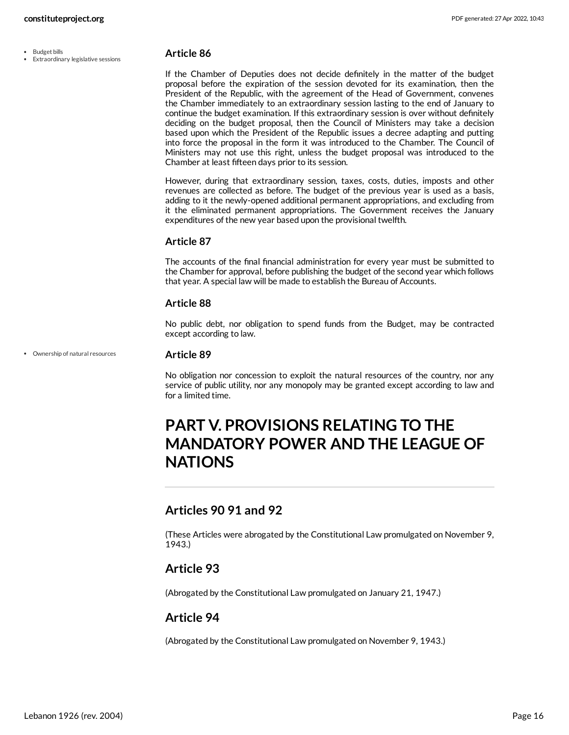- Budget bills
- Extraordinary legislative sessions

<span id="page-15-4"></span>If the Chamber of Deputies does not decide definitely in the matter of the budget proposal before the expiration of the session devoted for its examination, then the President of the Republic, with the agreement of the Head of Government, convenes the Chamber immediately to an extraordinary session lasting to the end of January to continue the budget examination. If this extraordinary session is over without definitely deciding on the budget proposal, then the Council of Ministers may take a decision based upon which the President of the Republic issues a decree adapting and putting into force the proposal in the form it was introduced to the Chamber. The Council of Ministers may not use this right, unless the budget proposal was introduced to the Chamber at least fifteen days prior to its session.

However, during that extraordinary session, taxes, costs, duties, imposts and other revenues are collected as before. The budget of the previous year is used as a basis, adding to it the newly-opened additional permanent appropriations, and excluding from it the eliminated permanent appropriations. The Government receives the January expenditures of the new year based upon the provisional twelfth.

#### **Article 87**

The accounts of the final financial administration for every year must be submitted to the Chamber for approval, before publishing the budget of the second year which follows that year. A special law will be made to establish the Bureau of Accounts.

#### **Article 88**

No public debt, nor obligation to spend funds from the Budget, may be contracted except according to law.

Ownership of natural resources

#### <span id="page-15-5"></span>**Article 89**

No obligation nor concession to exploit the natural resources of the country, nor any service of public utility, nor any monopoly may be granted except according to law and for a limited time.

## <span id="page-15-0"></span>**PART V. PROVISIONS RELATING TO THE MANDATORY POWER AND THE LEAGUE OF NATIONS**

### <span id="page-15-1"></span>**Articles 90 91 and 92**

(These Articles were abrogated by the Constitutional Law promulgated on November 9, 1943.)

## <span id="page-15-2"></span>**Article 93**

(Abrogated by the Constitutional Law promulgated on January 21, 1947.)

## <span id="page-15-3"></span>**Article 94**

(Abrogated by the Constitutional Law promulgated on November 9, 1943.)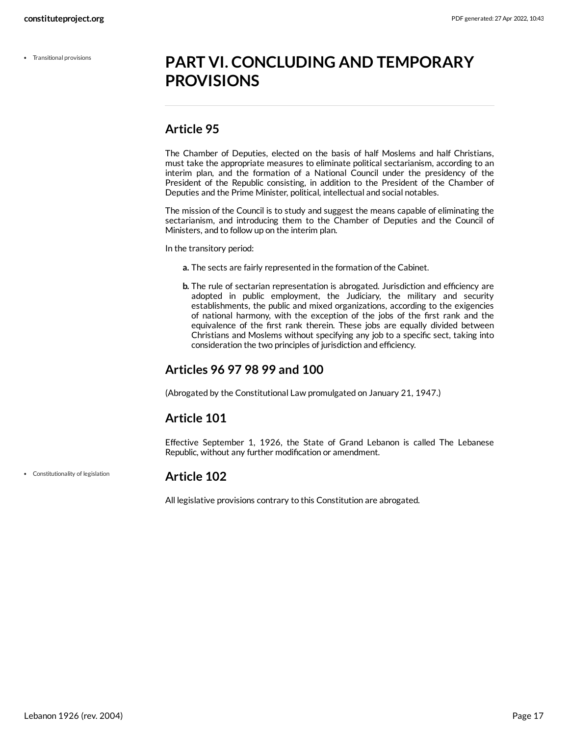Transitional provisions

## <span id="page-16-0"></span>**PART VI. CONCLUDING AND TEMPORARY PROVISIONS**

## <span id="page-16-1"></span>**Article 95**

The Chamber of Deputies, elected on the basis of half Moslems and half Christians, must take the appropriate measures to eliminate political sectarianism, according to an interim plan, and the formation of a National Council under the presidency of the President of the Republic consisting, in addition to the President of the Chamber of Deputies and the Prime Minister, political, intellectual and social notables.

The mission of the Council is to study and suggest the means capable of eliminating the sectarianism, and introducing them to the Chamber of Deputies and the Council of Ministers, and to follow up on the interim plan.

In the transitory period:

- **a.** The sects are fairly represented in the formation of the Cabinet.
- **b.** The rule of sectarian representation is abrogated. Jurisdiction and efficiency are adopted in public employment, the Judiciary, the military and security establishments, the public and mixed organizations, according to the exigencies of national harmony, with the exception of the jobs of the first rank and the equivalence of the first rank therein. These jobs are equally divided between Christians and Moslems without specifying any job to a specific sect, taking into consideration the two principles of jurisdiction and efficiency.

## <span id="page-16-2"></span>**Articles 96 97 98 99 and 100**

(Abrogated by the Constitutional Law promulgated on January 21, 1947.)

## <span id="page-16-3"></span>**Article 101**

Effective September 1, 1926, the State of Grand Lebanon is called The Lebanese Republic, without any further modification or amendment.

Constitutionality of legislation

### <span id="page-16-4"></span>**Article 102**

All legislative provisions contrary to this Constitution are abrogated.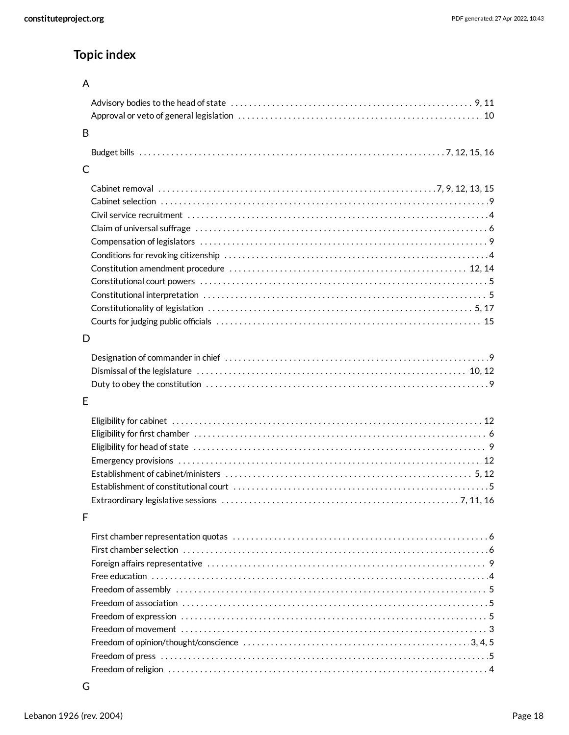## **Topic index**

## A

| B            |  |
|--------------|--|
|              |  |
| $\mathsf{C}$ |  |
|              |  |
| D            |  |
|              |  |
| E            |  |
|              |  |

## D

## E

## F

| Freedom of movement $\dots\dots\dots\dots\dots\dots\dots\dots\dots\dots\dots\dots\dots\dots\dots\dots\dots\dots$ |
|------------------------------------------------------------------------------------------------------------------|
|                                                                                                                  |
|                                                                                                                  |
|                                                                                                                  |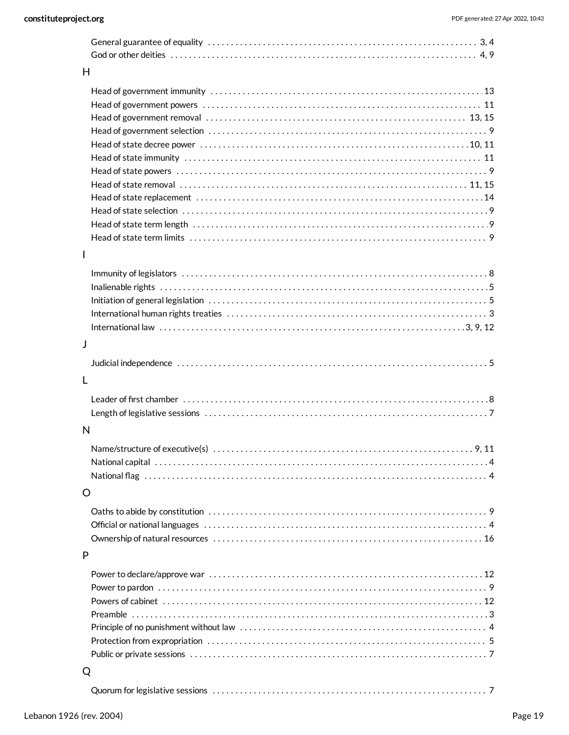| H  |  |
|----|--|
|    |  |
|    |  |
|    |  |
|    |  |
|    |  |
|    |  |
|    |  |
|    |  |
|    |  |
|    |  |
|    |  |
|    |  |
| I. |  |
|    |  |
|    |  |
|    |  |
|    |  |
|    |  |
| J  |  |
|    |  |
|    |  |
| L  |  |
|    |  |
|    |  |
| N  |  |
|    |  |
|    |  |
|    |  |
|    |  |
| O  |  |
|    |  |
|    |  |
|    |  |
| P  |  |
|    |  |
|    |  |
|    |  |
|    |  |
|    |  |
|    |  |
|    |  |
|    |  |
| Q  |  |

|--|--|--|